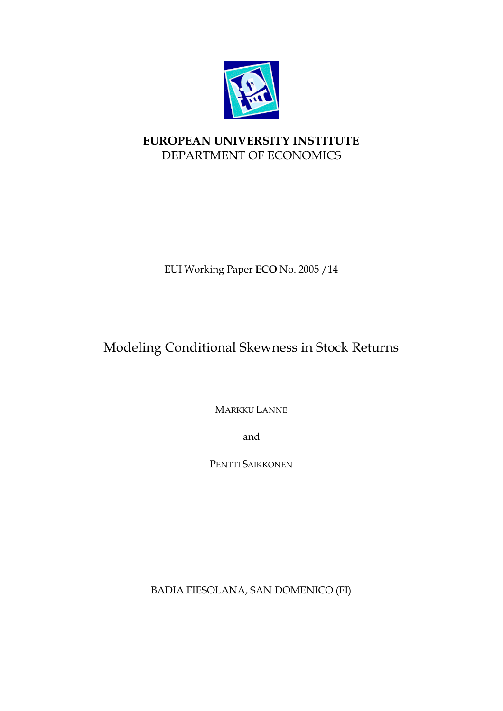

# **EUROPEAN UNIVERSITY INSTITUTE** DEPARTMENT OF ECONOMICS

EUI Working Paper **ECO** No. 2005 /14

# Modeling Conditional Skewness in Stock Returns

MARKKU LANNE

and

PENTTI SAIKKONEN

BADIA FIESOLANA, SAN DOMENICO (FI)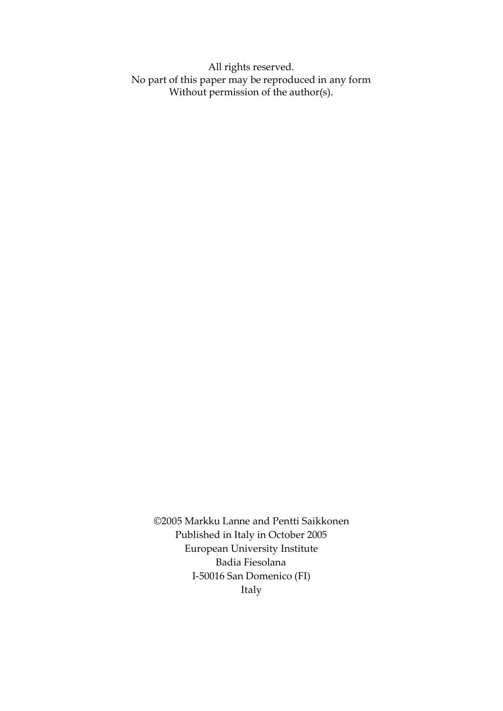All rights reserved. No part of this paper may be reproduced in any form Without permission of the author(s).

©2005 Markku Lanne and Pentti Saikkonen Published in Italy in October 2005 European University Institute Badia Fiesolana I-50016 San Domenico (FI) Italy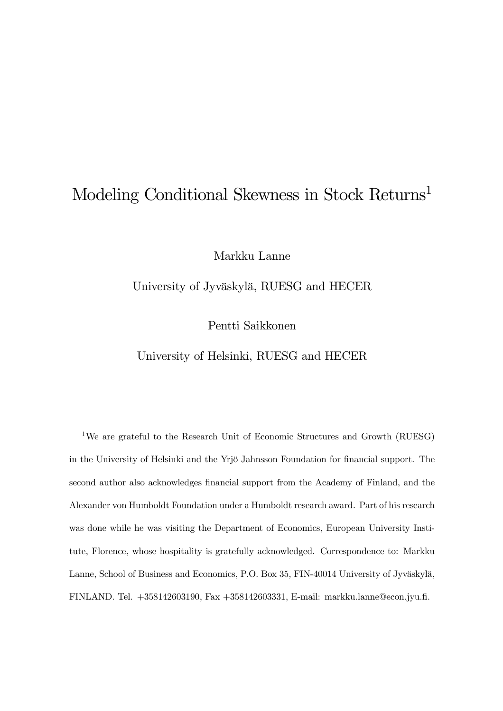# Modeling Conditional Skewness in Stock Returns<sup>1</sup>

Markku Lanne

University of Jyväskylä, RUESG and HECER

Pentti Saikkonen

University of Helsinki, RUESG and HECER

1We are grateful to the Research Unit of Economic Structures and Growth (RUESG) in the University of Helsinki and the Yrjö Jahnsson Foundation for financial support. The second author also acknowledges financial support from the Academy of Finland, and the Alexander von Humboldt Foundation under a Humboldt research award. Part of his research was done while he was visiting the Department of Economics, European University Institute, Florence, whose hospitality is gratefully acknowledged. Correspondence to: Markku Lanne, School of Business and Economics, P.O. Box 35, FIN-40014 University of Jyväskylä, FINLAND. Tel. +358142603190, Fax +358142603331, E-mail: markku.lanne@econ.jyu.fi.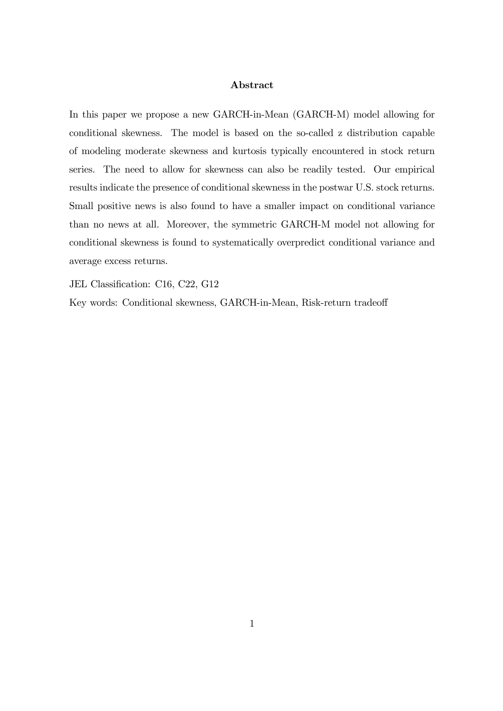### Abstract

In this paper we propose a new GARCH-in-Mean (GARCH-M) model allowing for conditional skewness. The model is based on the so-called z distribution capable of modeling moderate skewness and kurtosis typically encountered in stock return series. The need to allow for skewness can also be readily tested. Our empirical results indicate the presence of conditional skewness in the postwar U.S. stock returns. Small positive news is also found to have a smaller impact on conditional variance than no news at all. Moreover, the symmetric GARCH-M model not allowing for conditional skewness is found to systematically overpredict conditional variance and average excess returns.

JEL Classification: C16, C22, G12

Key words: Conditional skewness, GARCH-in-Mean, Risk-return tradeoff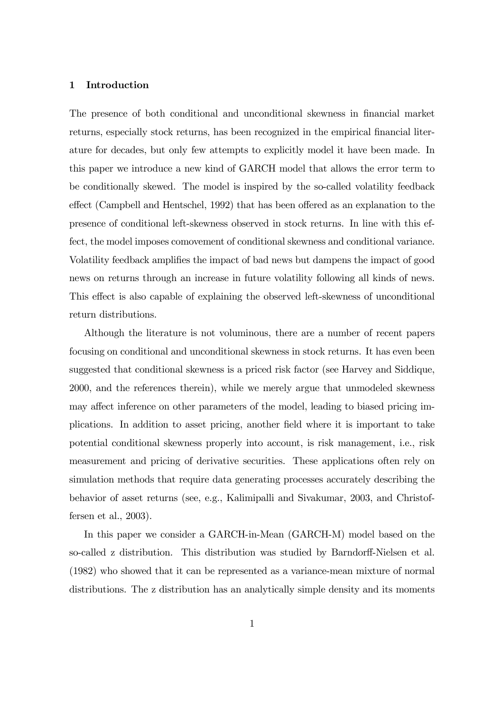#### 1 Introduction

The presence of both conditional and unconditional skewness in financial market returns, especially stock returns, has been recognized in the empirical financial literature for decades, but only few attempts to explicitly model it have been made. In this paper we introduce a new kind of GARCH model that allows the error term to be conditionally skewed. The model is inspired by the so-called volatility feedback effect (Campbell and Hentschel, 1992) that has been offered as an explanation to the presence of conditional left-skewness observed in stock returns. In line with this effect, the model imposes comovement of conditional skewness and conditional variance. Volatility feedback amplifies the impact of bad news but dampens the impact of good news on returns through an increase in future volatility following all kinds of news. This effect is also capable of explaining the observed left-skewness of unconditional return distributions.

Although the literature is not voluminous, there are a number of recent papers focusing on conditional and unconditional skewness in stock returns. It has even been suggested that conditional skewness is a priced risk factor (see Harvey and Siddique, 2000, and the references therein), while we merely argue that unmodeled skewness may affect inference on other parameters of the model, leading to biased pricing implications. In addition to asset pricing, another field where it is important to take potential conditional skewness properly into account, is risk management, i.e., risk measurement and pricing of derivative securities. These applications often rely on simulation methods that require data generating processes accurately describing the behavior of asset returns (see, e.g., Kalimipalli and Sivakumar, 2003, and Christoffersen et al., 2003).

In this paper we consider a GARCH-in-Mean (GARCH-M) model based on the so-called z distribution. This distribution was studied by Barndorff-Nielsen et al. (1982) who showed that it can be represented as a variance-mean mixture of normal distributions. The z distribution has an analytically simple density and its moments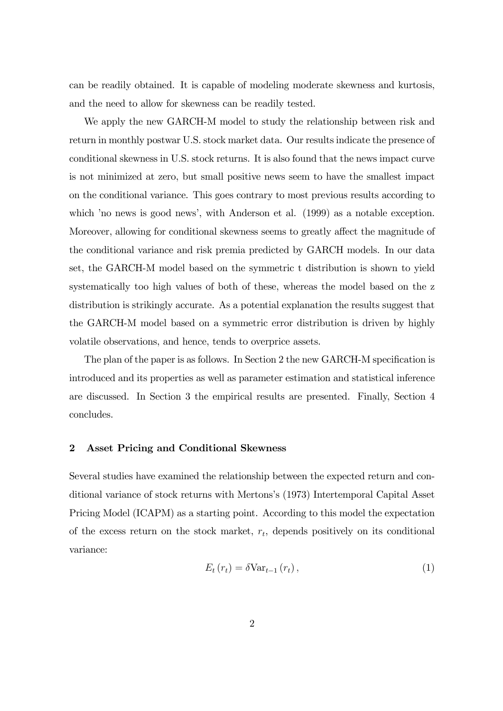can be readily obtained. It is capable of modeling moderate skewness and kurtosis, and the need to allow for skewness can be readily tested.

We apply the new GARCH-M model to study the relationship between risk and return in monthly postwar U.S. stock market data. Our results indicate the presence of conditional skewness in U.S. stock returns. It is also found that the news impact curve is not minimized at zero, but small positive news seem to have the smallest impact on the conditional variance. This goes contrary to most previous results according to which 'no news is good news', with Anderson et al. (1999) as a notable exception. Moreover, allowing for conditional skewness seems to greatly affect the magnitude of the conditional variance and risk premia predicted by GARCH models. In our data set, the GARCH-M model based on the symmetric t distribution is shown to yield systematically too high values of both of these, whereas the model based on the z distribution is strikingly accurate. As a potential explanation the results suggest that the GARCH-M model based on a symmetric error distribution is driven by highly volatile observations, and hence, tends to overprice assets.

The plan of the paper is as follows. In Section 2 the new GARCH-M specification is introduced and its properties as well as parameter estimation and statistical inference are discussed. In Section 3 the empirical results are presented. Finally, Section 4 concludes.

## 2 Asset Pricing and Conditional Skewness

Several studies have examined the relationship between the expected return and conditional variance of stock returns with Mertons's (1973) Intertemporal Capital Asset Pricing Model (ICAPM) as a starting point. According to this model the expectation of the excess return on the stock market,  $r_t$ , depends positively on its conditional variance:

$$
E_t(r_t) = \delta \text{Var}_{t-1}(r_t), \qquad (1)
$$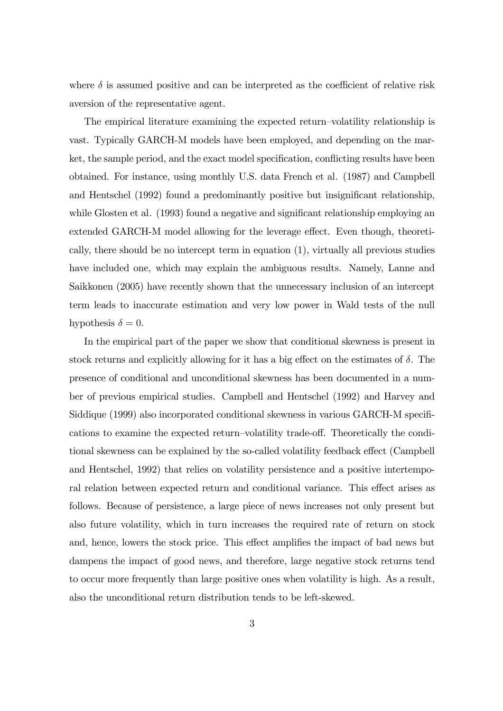where  $\delta$  is assumed positive and can be interpreted as the coefficient of relative risk aversion of the representative agent.

The empirical literature examining the expected return—volatility relationship is vast. Typically GARCH-M models have been employed, and depending on the market, the sample period, and the exact model specification, conflicting results have been obtained. For instance, using monthly U.S. data French et al. (1987) and Campbell and Hentschel (1992) found a predominantly positive but insignificant relationship, while Glosten et al. (1993) found a negative and significant relationship employing an extended GARCH-M model allowing for the leverage effect. Even though, theoretically, there should be no intercept term in equation (1), virtually all previous studies have included one, which may explain the ambiguous results. Namely, Lanne and Saikkonen (2005) have recently shown that the unnecessary inclusion of an intercept term leads to inaccurate estimation and very low power in Wald tests of the null hypothesis  $\delta = 0$ .

In the empirical part of the paper we show that conditional skewness is present in stock returns and explicitly allowing for it has a big effect on the estimates of  $\delta$ . The presence of conditional and unconditional skewness has been documented in a number of previous empirical studies. Campbell and Hentschel (1992) and Harvey and Siddique (1999) also incorporated conditional skewness in various GARCH-M specifications to examine the expected return—volatility trade-off. Theoretically the conditional skewness can be explained by the so-called volatility feedback effect (Campbell and Hentschel, 1992) that relies on volatility persistence and a positive intertemporal relation between expected return and conditional variance. This effect arises as follows. Because of persistence, a large piece of news increases not only present but also future volatility, which in turn increases the required rate of return on stock and, hence, lowers the stock price. This effect amplifies the impact of bad news but dampens the impact of good news, and therefore, large negative stock returns tend to occur more frequently than large positive ones when volatility is high. As a result, also the unconditional return distribution tends to be left-skewed.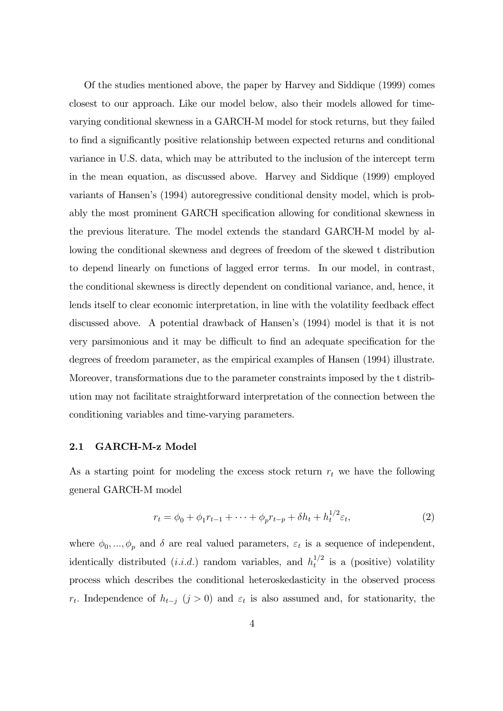Of the studies mentioned above, the paper by Harvey and Siddique (1999) comes closest to our approach. Like our model below, also their models allowed for timevarying conditional skewness in a GARCH-M model for stock returns, but they failed to find a significantly positive relationship between expected returns and conditional variance in U.S. data, which may be attributed to the inclusion of the intercept term in the mean equation, as discussed above. Harvey and Siddique (1999) employed variants of Hansen's (1994) autoregressive conditional density model, which is probably the most prominent GARCH specification allowing for conditional skewness in the previous literature. The model extends the standard GARCH-M model by allowing the conditional skewness and degrees of freedom of the skewed t distribution to depend linearly on functions of lagged error terms. In our model, in contrast, the conditional skewness is directly dependent on conditional variance, and, hence, it lends itself to clear economic interpretation, in line with the volatility feedback effect discussed above. A potential drawback of Hansen's (1994) model is that it is not very parsimonious and it may be difficult to find an adequate specification for the degrees of freedom parameter, as the empirical examples of Hansen (1994) illustrate. Moreover, transformations due to the parameter constraints imposed by the t distribution may not facilitate straightforward interpretation of the connection between the conditioning variables and time-varying parameters.

#### 2.1 GARCH-M-z Model

As a starting point for modeling the excess stock return  $r_t$  we have the following general GARCH-M model

$$
r_t = \phi_0 + \phi_1 r_{t-1} + \dots + \phi_p r_{t-p} + \delta h_t + h_t^{1/2} \varepsilon_t,
$$
\n(2)

where  $\phi_0, ..., \phi_p$  and  $\delta$  are real valued parameters,  $\varepsilon_t$  is a sequence of independent, identically distributed  $(i.i.d.)$  random variables, and  $h_t^{1/2}$  is a (positive) volatility process which describes the conditional heteroskedasticity in the observed process r<sub>t</sub>. Independence of  $h_{t-j}$  (j > 0) and  $\varepsilon_t$  is also assumed and, for stationarity, the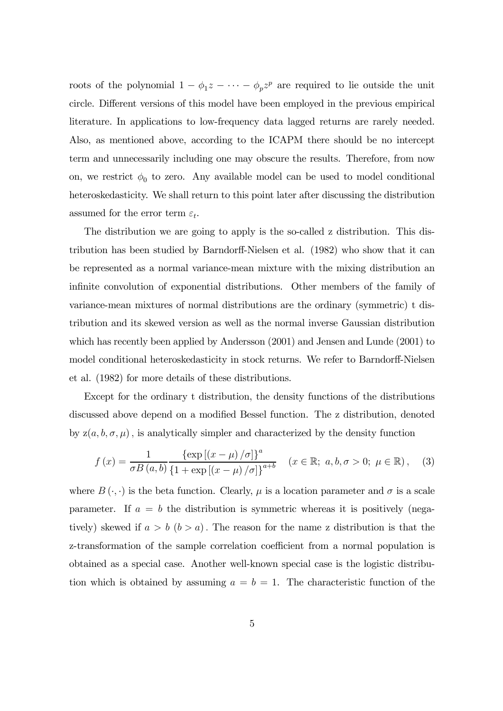roots of the polynomial  $1 - \phi_1 z - \cdots - \phi_p z^p$  are required to lie outside the unit circle. Different versions of this model have been employed in the previous empirical literature. In applications to low-frequency data lagged returns are rarely needed. Also, as mentioned above, according to the ICAPM there should be no intercept term and unnecessarily including one may obscure the results. Therefore, from now on, we restrict  $\phi_0$  to zero. Any available model can be used to model conditional heteroskedasticity. We shall return to this point later after discussing the distribution assumed for the error term  $\varepsilon_t$ .

The distribution we are going to apply is the so-called z distribution. This distribution has been studied by Barndorff-Nielsen et al. (1982) who show that it can be represented as a normal variance-mean mixture with the mixing distribution an infinite convolution of exponential distributions. Other members of the family of variance-mean mixtures of normal distributions are the ordinary (symmetric) t distribution and its skewed version as well as the normal inverse Gaussian distribution which has recently been applied by Andersson (2001) and Jensen and Lunde (2001) to model conditional heteroskedasticity in stock returns. We refer to Barndorff-Nielsen et al. (1982) for more details of these distributions.

Except for the ordinary t distribution, the density functions of the distributions discussed above depend on a modified Bessel function. The z distribution, denoted by  $z(a, b, \sigma, \mu)$ , is analytically simpler and characterized by the density function

$$
f(x) = \frac{1}{\sigma B(a, b)} \frac{\{\exp[(x - \mu)/\sigma]\}^a}{\{1 + \exp[(x - \mu)/\sigma]\}^{a+b}} \quad (x \in \mathbb{R}; \ a, b, \sigma > 0; \ \mu \in \mathbb{R}), \quad (3)
$$

where  $B(\cdot, \cdot)$  is the beta function. Clearly,  $\mu$  is a location parameter and  $\sigma$  is a scale parameter. If  $a = b$  the distribution is symmetric whereas it is positively (negatively) skewed if  $a > b$  ( $b > a$ ). The reason for the name z distribution is that the z-transformation of the sample correlation coefficient from a normal population is obtained as a special case. Another well-known special case is the logistic distribution which is obtained by assuming  $a = b = 1$ . The characteristic function of the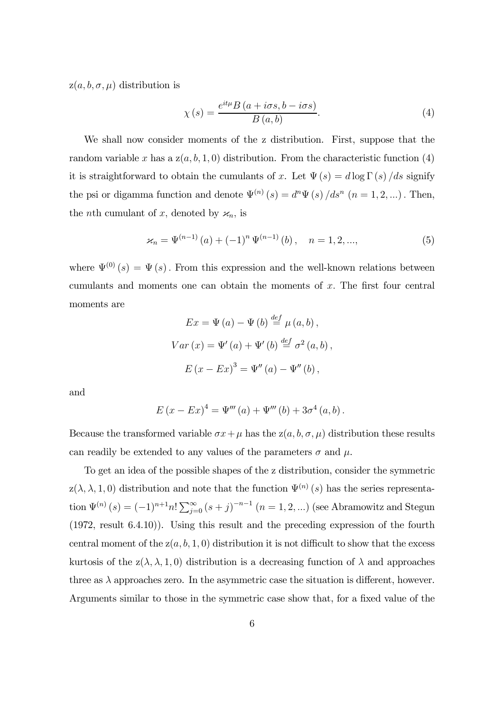$z(a, b, \sigma, \mu)$  distribution is

$$
\chi(s) = \frac{e^{it\mu}B\left(a + i\sigma s, b - i\sigma s\right)}{B\left(a, b\right)}.\tag{4}
$$

We shall now consider moments of the z distribution. First, suppose that the random variable x has a  $z(a, b, 1, 0)$  distribution. From the characteristic function (4) it is straightforward to obtain the cumulants of x. Let  $\Psi(s) = d \log \Gamma(s) / ds$  signify the psi or digamma function and denote  $\Psi^{(n)}(s) = d^n \Psi(s) / ds^n$   $(n = 1, 2, ...)$ . Then, the *n*th cumulant of x, denoted by  $\varkappa_n$ , is

$$
\varkappa_n = \Psi^{(n-1)}(a) + (-1)^n \Psi^{(n-1)}(b), \quad n = 1, 2, ..., \tag{5}
$$

where  $\Psi^{(0)}(s) = \Psi(s)$ . From this expression and the well-known relations between cumulants and moments one can obtain the moments of x. The first four central moments are

$$
Ex = \Psi (a) - \Psi (b) \stackrel{def}{=} \mu (a, b),
$$
  
\n
$$
Var (x) = \Psi'(a) + \Psi'(b) \stackrel{def}{=} \sigma^{2} (a, b),
$$
  
\n
$$
E (x - Ex)^{3} = \Psi'' (a) - \Psi'' (b),
$$

and

$$
E (x - Ex)^{4} = \Psi'''(a) + \Psi'''(b) + 3\sigma^{4} (a, b).
$$

Because the transformed variable  $\sigma x + \mu$  has the  $z(a, b, \sigma, \mu)$  distribution these results can readily be extended to any values of the parameters  $\sigma$  and  $\mu$ .

To get an idea of the possible shapes of the z distribution, consider the symmetric z( $\lambda$ ,  $\lambda$ , 1, 0) distribution and note that the function  $\Psi^{(n)}(s)$  has the series representation  $\Psi^{(n)}(s) = (-1)^{n+1} n! \sum_{j=0}^{\infty} (s+j)^{-n-1} (n = 1, 2, ...)$  (see Abramowitz and Stegun (1972, result 6.4.10)). Using this result and the preceding expression of the fourth central moment of the  $z(a, b, 1, 0)$  distribution it is not difficult to show that the excess kurtosis of the  $z(\lambda, \lambda, 1, 0)$  distribution is a decreasing function of  $\lambda$  and approaches three as  $\lambda$  approaches zero. In the asymmetric case the situation is different, however. Arguments similar to those in the symmetric case show that, for a fixed value of the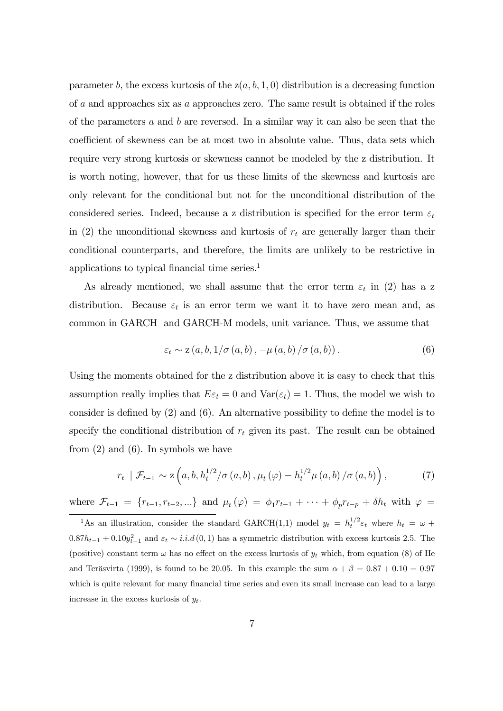parameter b, the excess kurtosis of the  $z(a, b, 1, 0)$  distribution is a decreasing function of a and approaches six as a approaches zero. The same result is obtained if the roles of the parameters  $a$  and  $b$  are reversed. In a similar way it can also be seen that the coefficient of skewness can be at most two in absolute value. Thus, data sets which require very strong kurtosis or skewness cannot be modeled by the z distribution. It is worth noting, however, that for us these limits of the skewness and kurtosis are only relevant for the conditional but not for the unconditional distribution of the considered series. Indeed, because a z distribution is specified for the error term  $\varepsilon_t$ in (2) the unconditional skewness and kurtosis of  $r_t$  are generally larger than their conditional counterparts, and therefore, the limits are unlikely to be restrictive in applications to typical financial time series.1

As already mentioned, we shall assume that the error term  $\varepsilon_t$  in (2) has a z distribution. Because  $\varepsilon_t$  is an error term we want it to have zero mean and, as common in GARCH and GARCH-M models, unit variance. Thus, we assume that

$$
\varepsilon_t \sim z\left(a, b, 1/\sigma\left(a, b\right), -\mu\left(a, b\right)/\sigma\left(a, b\right)\right). \tag{6}
$$

Using the moments obtained for the z distribution above it is easy to check that this assumption really implies that  $E\varepsilon_t = 0$  and  $Var(\varepsilon_t) = 1$ . Thus, the model we wish to consider is defined by (2) and (6). An alternative possibility to define the model is to specify the conditional distribution of  $r_t$  given its past. The result can be obtained from  $(2)$  and  $(6)$ . In symbols we have

$$
r_{t} \mid \mathcal{F}_{t-1} \sim \mathbf{z} \left( a, b, h_{t}^{1/2} / \sigma \left( a, b \right), \mu_{t} \left( \varphi \right) - h_{t}^{1/2} \mu \left( a, b \right) / \sigma \left( a, b \right) \right), \tag{7}
$$

where  $\mathcal{F}_{t-1} = \{r_{t-1}, r_{t-2}, ...\}$  and  $\mu_t(\varphi) = \phi_1 r_{t-1} + \cdots + \phi_p r_{t-p} + \delta h_t$  with  $\varphi =$ 

<sup>&</sup>lt;sup>1</sup>As an illustration, consider the standard GARCH(1,1) model  $y_t = h_t^{1/2} \varepsilon_t$  where  $h_t = \omega +$  $0.87h_{t-1} + 0.10y_{t-1}^2$  and  $\varepsilon_t \sim i.i.d(0,1)$  has a symmetric distribution with excess kurtosis 2.5. The (positive) constant term  $\omega$  has no effect on the excess kurtosis of  $y_t$  which, from equation (8) of He and Teräsvirta (1999), is found to be 20.05. In this example the sum  $\alpha + \beta = 0.87 + 0.10 = 0.97$ which is quite relevant for many financial time series and even its small increase can lead to a large increase in the excess kurtosis of  $y_t$ .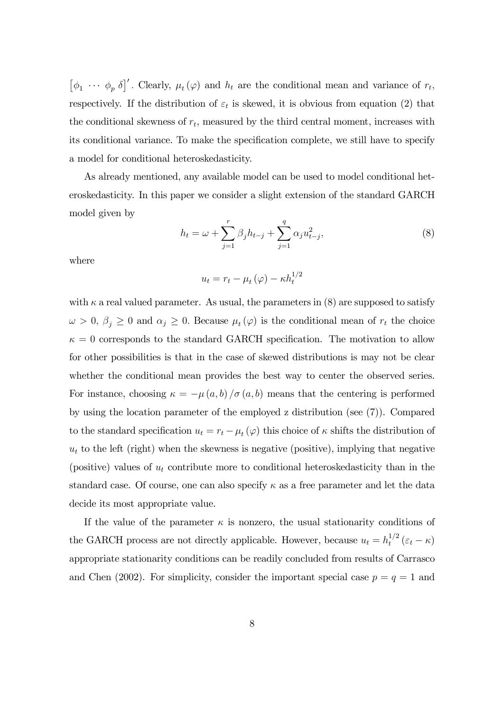$[\phi_1 \cdots \phi_p \ \delta]'$ . Clearly,  $\mu_t(\varphi)$  and  $h_t$  are the conditional mean and variance of  $r_t$ , respectively. If the distribution of  $\varepsilon_t$  is skewed, it is obvious from equation (2) that the conditional skewness of  $r_t$ , measured by the third central moment, increases with its conditional variance. To make the specification complete, we still have to specify a model for conditional heteroskedasticity.

As already mentioned, any available model can be used to model conditional heteroskedasticity. In this paper we consider a slight extension of the standard GARCH model given by

$$
h_t = \omega + \sum_{j=1}^r \beta_j h_{t-j} + \sum_{j=1}^q \alpha_j u_{t-j}^2,
$$
\n(8)

where

$$
u_t = r_t - \mu_t(\varphi) - \kappa h_t^{1/2}
$$

with  $\kappa$  a real valued parameter. As usual, the parameters in (8) are supposed to satisfy  $\omega > 0$ ,  $\beta_j \geq 0$  and  $\alpha_j \geq 0$ . Because  $\mu_t(\varphi)$  is the conditional mean of  $r_t$  the choice  $\kappa = 0$  corresponds to the standard GARCH specification. The motivation to allow for other possibilities is that in the case of skewed distributions is may not be clear whether the conditional mean provides the best way to center the observed series. For instance, choosing  $\kappa = -\mu(a, b)/\sigma(a, b)$  means that the centering is performed by using the location parameter of the employed z distribution (see (7)). Compared to the standard specification  $u_t = r_t - \mu_t(\varphi)$  this choice of  $\kappa$  shifts the distribution of  $u_t$  to the left (right) when the skewness is negative (positive), implying that negative (positive) values of  $u_t$  contribute more to conditional heteroskedasticity than in the standard case. Of course, one can also specify  $\kappa$  as a free parameter and let the data decide its most appropriate value.

If the value of the parameter  $\kappa$  is nonzero, the usual stationarity conditions of the GARCH process are not directly applicable. However, because  $u_t = h_t^{1/2} (\varepsilon_t - \kappa)$ appropriate stationarity conditions can be readily concluded from results of Carrasco and Chen (2002). For simplicity, consider the important special case  $p = q = 1$  and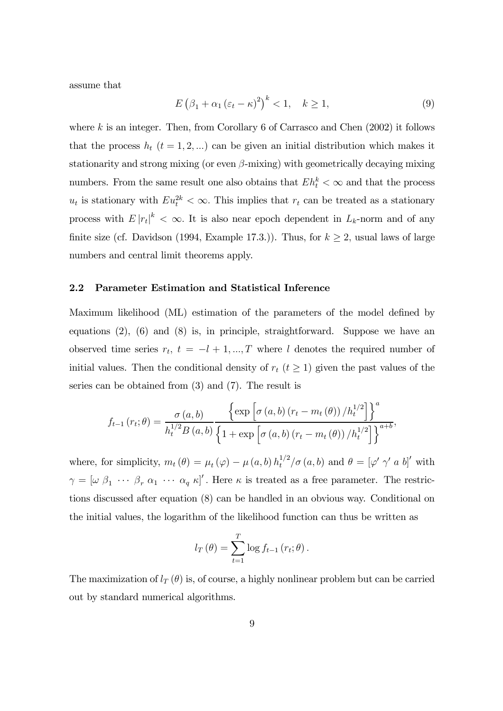assume that

$$
E(\beta_1 + \alpha_1(\varepsilon_t - \kappa)^2)^k < 1, \quad k \ge 1,
$$
\n(9)

where k is an integer. Then, from Corollary 6 of Carrasco and Chen  $(2002)$  it follows that the process  $h_t$  ( $t = 1, 2, ...$ ) can be given an initial distribution which makes it stationarity and strong mixing (or even  $\beta$ -mixing) with geometrically decaying mixing numbers. From the same result one also obtains that  $E h_t^k < \infty$  and that the process  $u_t$  is stationary with  $Eu_t^{2k} < \infty$ . This implies that  $r_t$  can be treated as a stationary process with  $E|r_t|^k < \infty$ . It is also near epoch dependent in  $L_k$ -norm and of any finite size (cf. Davidson (1994, Example 17.3.)). Thus, for  $k \geq 2$ , usual laws of large numbers and central limit theorems apply.

#### 2.2 Parameter Estimation and Statistical Inference

Maximum likelihood (ML) estimation of the parameters of the model defined by equations (2), (6) and (8) is, in principle, straightforward. Suppose we have an observed time series  $r_t$ ,  $t = -l + 1, ..., T$  where l denotes the required number of initial values. Then the conditional density of  $r_t$  ( $t \geq 1$ ) given the past values of the series can be obtained from (3) and (7). The result is

$$
f_{t-1}(r_t; \theta) = \frac{\sigma(a, b)}{h_t^{1/2} B(a, b)} \frac{\left\{ \exp\left[\sigma(a, b) (r_t - m_t(\theta)) / h_t^{1/2}\right] \right\}^a}{\left\{1 + \exp\left[\sigma(a, b) (r_t - m_t(\theta)) / h_t^{1/2}\right] \right\}^{a+b}},
$$

where, for simplicity,  $m_t(\theta) = \mu_t(\varphi) - \mu(a, b) h_t^{1/2} / \sigma(a, b)$  and  $\theta = [\varphi' \gamma' a b]'$  with  $\gamma = [\omega \beta_1 \cdots \beta_r \alpha_1 \cdots \alpha_q \kappa]'$ . Here  $\kappa$  is treated as a free parameter. The restrictions discussed after equation (8) can be handled in an obvious way. Conditional on the initial values, the logarithm of the likelihood function can thus be written as

$$
l_T(\theta) = \sum_{t=1}^T \log f_{t-1}(r_t; \theta).
$$

The maximization of  $l_T(\theta)$  is, of course, a highly nonlinear problem but can be carried out by standard numerical algorithms.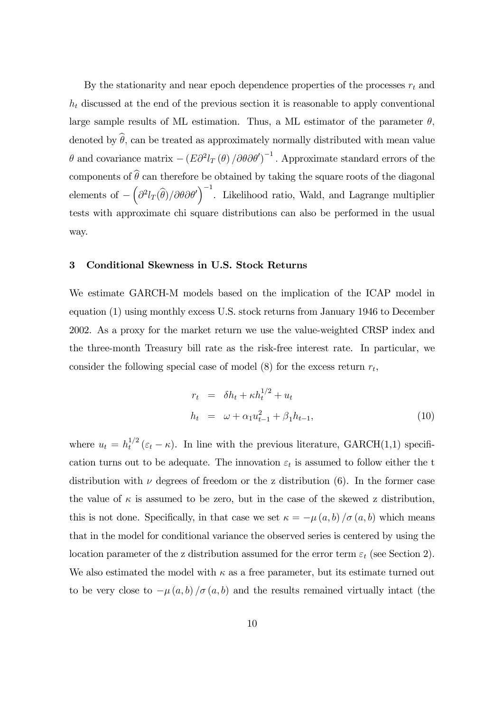By the stationarity and near epoch dependence properties of the processes  $r_t$  and  $h_t$  discussed at the end of the previous section it is reasonable to apply conventional large sample results of ML estimation. Thus, a ML estimator of the parameter  $\theta$ , denoted by  $\hat{\theta}$ , can be treated as approximately normally distributed with mean value θ and covariance matrix  $-(E\partial^2 l_T(\theta)/\partial\theta\partial\theta')^{-1}$ . Approximate standard errors of the components of  $\hat{\theta}$  can therefore be obtained by taking the square roots of the diagonal elements of  $-\left(\partial^2 l_T(\hat{\theta})/\partial\theta\partial\theta'\right)^{-1}$ . Likelihood ratio, Wald, and Lagrange multiplier tests with approximate chi square distributions can also be performed in the usual way.

#### 3 Conditional Skewness in U.S. Stock Returns

We estimate GARCH-M models based on the implication of the ICAP model in equation (1) using monthly excess U.S. stock returns from January 1946 to December 2002. As a proxy for the market return we use the value-weighted CRSP index and the three-month Treasury bill rate as the risk-free interest rate. In particular, we consider the following special case of model  $(8)$  for the excess return  $r_t$ ,

$$
r_{t} = \delta h_{t} + \kappa h_{t}^{1/2} + u_{t}
$$
  
\n
$$
h_{t} = \omega + \alpha_{1} u_{t-1}^{2} + \beta_{1} h_{t-1},
$$
\n(10)

where  $u_t = h_t^{1/2} (\varepsilon_t - \kappa)$ . In line with the previous literature, GARCH(1,1) specification turns out to be adequate. The innovation  $\varepsilon_t$  is assumed to follow either the t distribution with  $\nu$  degrees of freedom or the z distribution (6). In the former case the value of  $\kappa$  is assumed to be zero, but in the case of the skewed z distribution, this is not done. Specifically, in that case we set  $\kappa = -\mu(a, b)/\sigma(a, b)$  which means that in the model for conditional variance the observed series is centered by using the location parameter of the z distribution assumed for the error term  $\varepsilon_t$  (see Section 2). We also estimated the model with  $\kappa$  as a free parameter, but its estimate turned out to be very close to  $-\mu(a, b)/\sigma(a, b)$  and the results remained virtually intact (the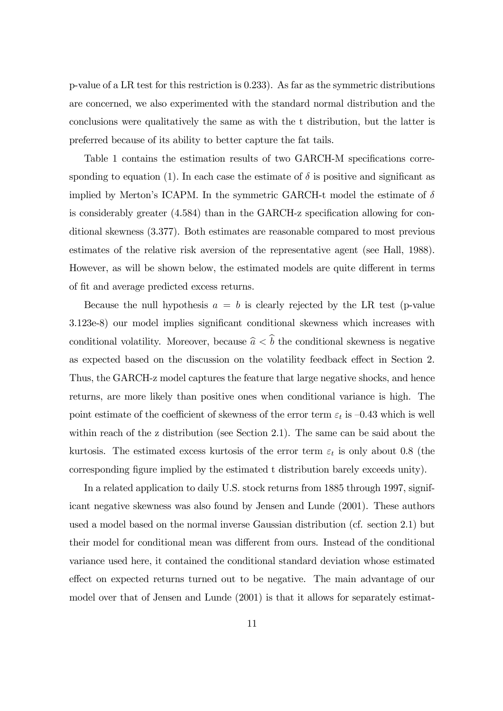p-value of a LR test for this restriction is 0.233). As far as the symmetric distributions are concerned, we also experimented with the standard normal distribution and the conclusions were qualitatively the same as with the t distribution, but the latter is preferred because of its ability to better capture the fat tails.

Table 1 contains the estimation results of two GARCH-M specifications corresponding to equation (1). In each case the estimate of  $\delta$  is positive and significant as implied by Merton's ICAPM. In the symmetric GARCH-t model the estimate of  $\delta$ is considerably greater (4.584) than in the GARCH-z specification allowing for conditional skewness (3.377). Both estimates are reasonable compared to most previous estimates of the relative risk aversion of the representative agent (see Hall, 1988). However, as will be shown below, the estimated models are quite different in terms of fit and average predicted excess returns.

Because the null hypothesis  $a = b$  is clearly rejected by the LR test (p-value 3.123e-8) our model implies significant conditional skewness which increases with conditional volatility. Moreover, because  $\hat{a} < \hat{b}$  the conditional skewness is negative as expected based on the discussion on the volatility feedback effect in Section 2. Thus, the GARCH-z model captures the feature that large negative shocks, and hence returns, are more likely than positive ones when conditional variance is high. The point estimate of the coefficient of skewness of the error term  $\varepsilon_t$  is  $-0.43$  which is well within reach of the z distribution (see Section 2.1). The same can be said about the kurtosis. The estimated excess kurtosis of the error term  $\varepsilon_t$  is only about 0.8 (the corresponding figure implied by the estimated t distribution barely exceeds unity).

In a related application to daily U.S. stock returns from 1885 through 1997, significant negative skewness was also found by Jensen and Lunde (2001). These authors used a model based on the normal inverse Gaussian distribution (cf. section 2.1) but their model for conditional mean was different from ours. Instead of the conditional variance used here, it contained the conditional standard deviation whose estimated effect on expected returns turned out to be negative. The main advantage of our model over that of Jensen and Lunde (2001) is that it allows for separately estimat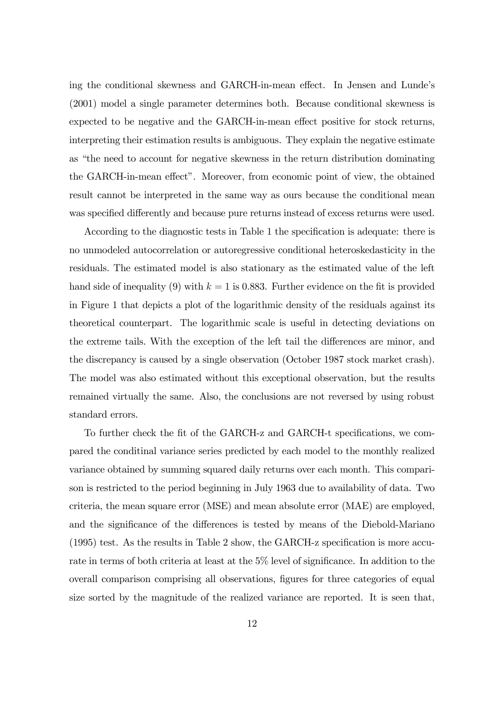ing the conditional skewness and GARCH-in-mean effect. In Jensen and Lunde's (2001) model a single parameter determines both. Because conditional skewness is expected to be negative and the GARCH-in-mean effect positive for stock returns, interpreting their estimation results is ambiguous. They explain the negative estimate as "the need to account for negative skewness in the return distribution dominating the GARCH-in-mean effect". Moreover, from economic point of view, the obtained result cannot be interpreted in the same way as ours because the conditional mean was specified differently and because pure returns instead of excess returns were used.

According to the diagnostic tests in Table 1 the specification is adequate: there is no unmodeled autocorrelation or autoregressive conditional heteroskedasticity in the residuals. The estimated model is also stationary as the estimated value of the left hand side of inequality (9) with  $k = 1$  is 0.883. Further evidence on the fit is provided in Figure 1 that depicts a plot of the logarithmic density of the residuals against its theoretical counterpart. The logarithmic scale is useful in detecting deviations on the extreme tails. With the exception of the left tail the differences are minor, and the discrepancy is caused by a single observation (October 1987 stock market crash). The model was also estimated without this exceptional observation, but the results remained virtually the same. Also, the conclusions are not reversed by using robust standard errors.

To further check the fit of the GARCH-z and GARCH-t specifications, we compared the conditinal variance series predicted by each model to the monthly realized variance obtained by summing squared daily returns over each month. This comparison is restricted to the period beginning in July 1963 due to availability of data. Two criteria, the mean square error (MSE) and mean absolute error (MAE) are employed, and the significance of the differences is tested by means of the Diebold-Mariano (1995) test. As the results in Table 2 show, the GARCH-z specification is more accurate in terms of both criteria at least at the 5% level of significance. In addition to the overall comparison comprising all observations, figures for three categories of equal size sorted by the magnitude of the realized variance are reported. It is seen that,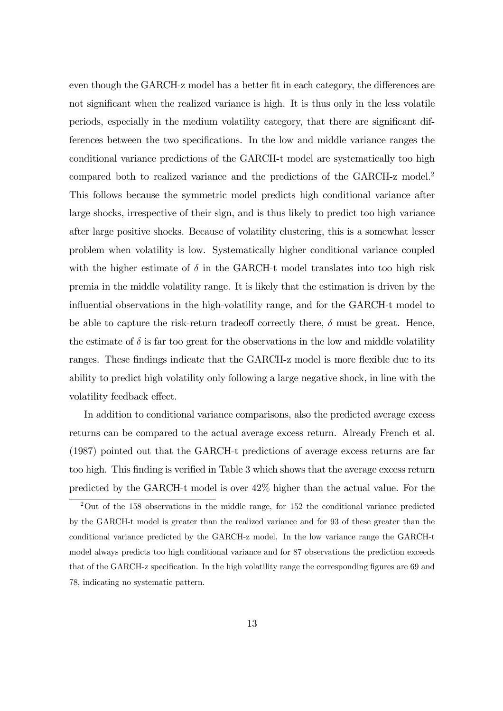even though the GARCH-z model has a better fit in each category, the differences are not significant when the realized variance is high. It is thus only in the less volatile periods, especially in the medium volatility category, that there are significant differences between the two specifications. In the low and middle variance ranges the conditional variance predictions of the GARCH-t model are systematically too high compared both to realized variance and the predictions of the GARCH-z model.2 This follows because the symmetric model predicts high conditional variance after large shocks, irrespective of their sign, and is thus likely to predict too high variance after large positive shocks. Because of volatility clustering, this is a somewhat lesser problem when volatility is low. Systematically higher conditional variance coupled with the higher estimate of  $\delta$  in the GARCH-t model translates into too high risk premia in the middle volatility range. It is likely that the estimation is driven by the influential observations in the high-volatility range, and for the GARCH-t model to be able to capture the risk-return tradeoff correctly there,  $\delta$  must be great. Hence, the estimate of  $\delta$  is far too great for the observations in the low and middle volatility ranges. These findings indicate that the GARCH-z model is more flexible due to its ability to predict high volatility only following a large negative shock, in line with the volatility feedback effect.

In addition to conditional variance comparisons, also the predicted average excess returns can be compared to the actual average excess return. Already French et al. (1987) pointed out that the GARCH-t predictions of average excess returns are far too high. This finding is verified in Table 3 which shows that the average excess return predicted by the GARCH-t model is over 42% higher than the actual value. For the

<sup>2</sup>Out of the 158 observations in the middle range, for 152 the conditional variance predicted by the GARCH-t model is greater than the realized variance and for 93 of these greater than the conditional variance predicted by the GARCH-z model. In the low variance range the GARCH-t model always predicts too high conditional variance and for 87 observations the prediction exceeds that of the GARCH-z specification. In the high volatility range the corresponding figures are 69 and 78, indicating no systematic pattern.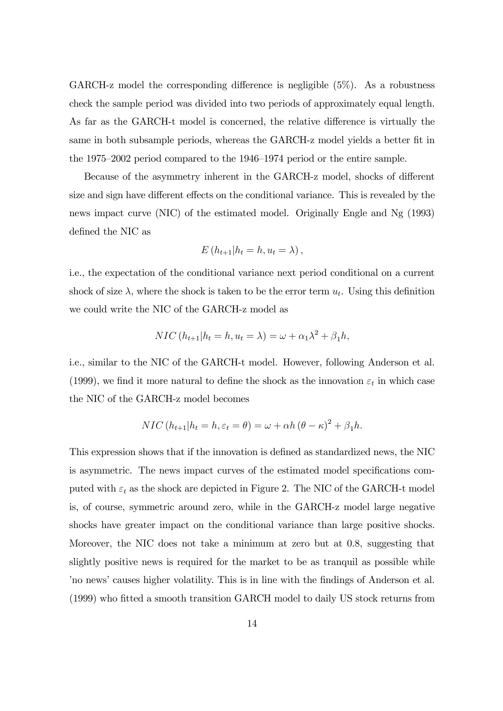GARCH-z model the corresponding difference is negligible (5%). As a robustness check the sample period was divided into two periods of approximately equal length. As far as the GARCH-t model is concerned, the relative difference is virtually the same in both subsample periods, whereas the GARCH-z model yields a better fit in the 1975—2002 period compared to the 1946—1974 period or the entire sample.

Because of the asymmetry inherent in the GARCH-z model, shocks of different size and sign have different effects on the conditional variance. This is revealed by the news impact curve (NIC) of the estimated model. Originally Engle and Ng (1993) defined the NIC as

$$
E(h_{t+1}|h_t=h, u_t=\lambda),
$$

i.e., the expectation of the conditional variance next period conditional on a current shock of size  $\lambda$ , where the shock is taken to be the error term  $u_t$ . Using this definition we could write the NIC of the GARCH-z model as

$$
NIC(h_{t+1}|h_t = h, u_t = \lambda) = \omega + \alpha_1 \lambda^2 + \beta_1 h,
$$

i.e., similar to the NIC of the GARCH-t model. However, following Anderson et al. (1999), we find it more natural to define the shock as the innovation  $\varepsilon_t$  in which case the NIC of the GARCH-z model becomes

$$
NIC(h_{t+1}|h_t = h, \varepsilon_t = \theta) = \omega + \alpha h (\theta - \kappa)^2 + \beta_1 h.
$$

This expression shows that if the innovation is defined as standardized news, the NIC is asymmetric. The news impact curves of the estimated model specifications computed with  $\varepsilon_t$  as the shock are depicted in Figure 2. The NIC of the GARCH-t model is, of course, symmetric around zero, while in the GARCH-z model large negative shocks have greater impact on the conditional variance than large positive shocks. Moreover, the NIC does not take a minimum at zero but at 0.8, suggesting that slightly positive news is required for the market to be as tranquil as possible while 'no news' causes higher volatility. This is in line with the findings of Anderson et al. (1999) who fitted a smooth transition GARCH model to daily US stock returns from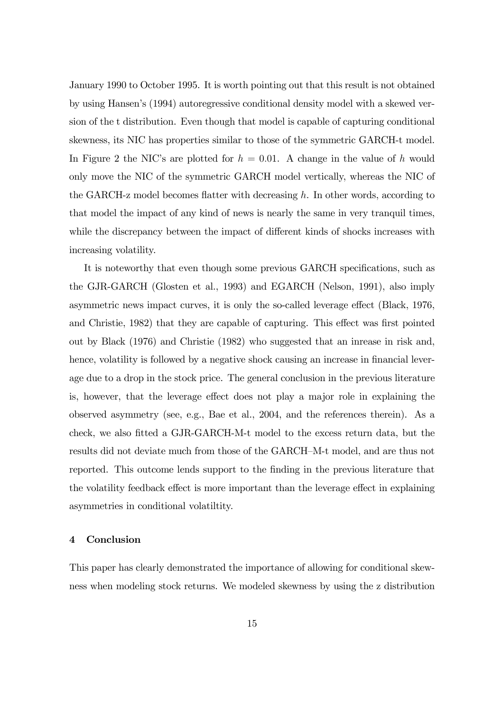January 1990 to October 1995. It is worth pointing out that this result is not obtained by using Hansen's (1994) autoregressive conditional density model with a skewed version of the t distribution. Even though that model is capable of capturing conditional skewness, its NIC has properties similar to those of the symmetric GARCH-t model. In Figure 2 the NIC's are plotted for  $h = 0.01$ . A change in the value of h would only move the NIC of the symmetric GARCH model vertically, whereas the NIC of the GARCH-z model becomes flatter with decreasing h. In other words, according to that model the impact of any kind of news is nearly the same in very tranquil times, while the discrepancy between the impact of different kinds of shocks increases with increasing volatility.

It is noteworthy that even though some previous GARCH specifications, such as the GJR-GARCH (Glosten et al., 1993) and EGARCH (Nelson, 1991), also imply asymmetric news impact curves, it is only the so-called leverage effect (Black, 1976, and Christie, 1982) that they are capable of capturing. This effect was first pointed out by Black (1976) and Christie (1982) who suggested that an inrease in risk and, hence, volatility is followed by a negative shock causing an increase in financial leverage due to a drop in the stock price. The general conclusion in the previous literature is, however, that the leverage effect does not play a major role in explaining the observed asymmetry (see, e.g., Bae et al., 2004, and the references therein). As a check, we also fitted a GJR-GARCH-M-t model to the excess return data, but the results did not deviate much from those of the GARCH—M-t model, and are thus not reported. This outcome lends support to the finding in the previous literature that the volatility feedback effect is more important than the leverage effect in explaining asymmetries in conditional volatiltity.

# 4 Conclusion

This paper has clearly demonstrated the importance of allowing for conditional skewness when modeling stock returns. We modeled skewness by using the z distribution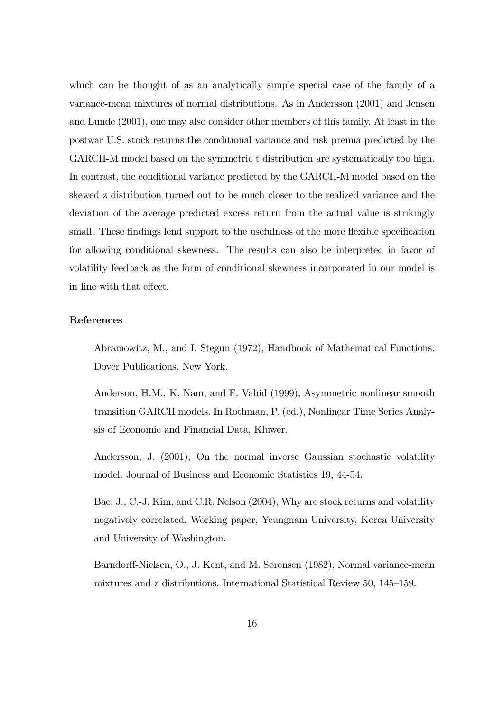which can be thought of as an analytically simple special case of the family of a variance-mean mixtures of normal distributions. As in Andersson (2001) and Jensen and Lunde (2001), one may also consider other members of this family. At least in the postwar U.S. stock returns the conditional variance and risk premia predicted by the GARCH-M model based on the symmetric t distribution are systematically too high. In contrast, the conditional variance predicted by the GARCH-M model based on the skewed z distribution turned out to be much closer to the realized variance and the deviation of the average predicted excess return from the actual value is strikingly small. These findings lend support to the usefulness of the more flexible specification for allowing conditional skewness. The results can also be interpreted in favor of volatility feedback as the form of conditional skewness incorporated in our model is in line with that effect.

### References

Abramowitz, M., and I. Stegun (1972), Handbook of Mathematical Functions. Dover Publications. New York.

Anderson, H.M., K. Nam, and F. Vahid (1999), Asymmetric nonlinear smooth transition GARCH models. In Rothman, P. (ed.), Nonlinear Time Series Analysis of Economic and Financial Data, Kluwer.

Andersson, J. (2001), On the normal inverse Gaussian stochastic volatility model. Journal of Business and Economic Statistics 19, 44-54.

Bae, J., C.-J. Kim, and C.R. Nelson (2004), Why are stock returns and volatility negatively correlated. Working paper, Yeungnam University, Korea University and University of Washington.

Barndorff-Nielsen, O., J. Kent, and M. Sørensen (1982), Normal variance-mean mixtures and z distributions. International Statistical Review 50, 145—159.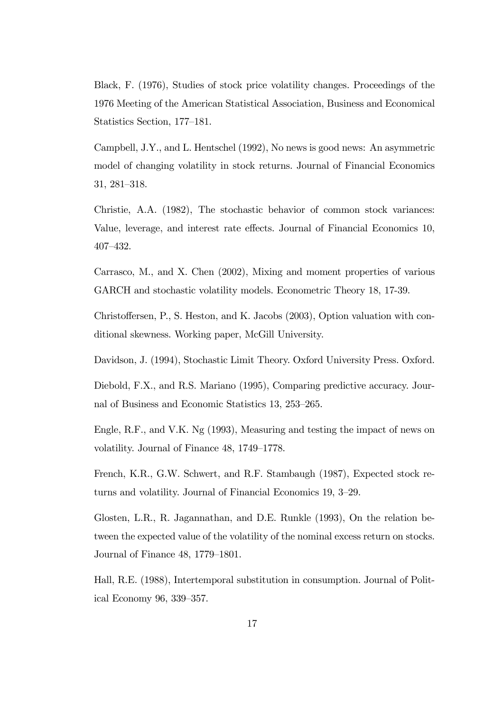Black, F. (1976), Studies of stock price volatility changes. Proceedings of the 1976 Meeting of the American Statistical Association, Business and Economical Statistics Section, 177—181.

Campbell, J.Y., and L. Hentschel (1992), No news is good news: An asymmetric model of changing volatility in stock returns. Journal of Financial Economics 31, 281—318.

Christie, A.A. (1982), The stochastic behavior of common stock variances: Value, leverage, and interest rate effects. Journal of Financial Economics 10, 407—432.

Carrasco, M., and X. Chen (2002), Mixing and moment properties of various GARCH and stochastic volatility models. Econometric Theory 18, 17-39.

Christoffersen, P., S. Heston, and K. Jacobs (2003), Option valuation with conditional skewness. Working paper, McGill University.

Davidson, J. (1994), Stochastic Limit Theory. Oxford University Press. Oxford.

Diebold, F.X., and R.S. Mariano (1995), Comparing predictive accuracy. Journal of Business and Economic Statistics 13, 253—265.

Engle, R.F., and V.K. Ng (1993), Measuring and testing the impact of news on volatility. Journal of Finance 48, 1749—1778.

French, K.R., G.W. Schwert, and R.F. Stambaugh (1987), Expected stock returns and volatility. Journal of Financial Economics 19, 3—29.

Glosten, L.R., R. Jagannathan, and D.E. Runkle (1993), On the relation between the expected value of the volatility of the nominal excess return on stocks. Journal of Finance 48, 1779—1801.

Hall, R.E. (1988), Intertemporal substitution in consumption. Journal of Political Economy 96, 339—357.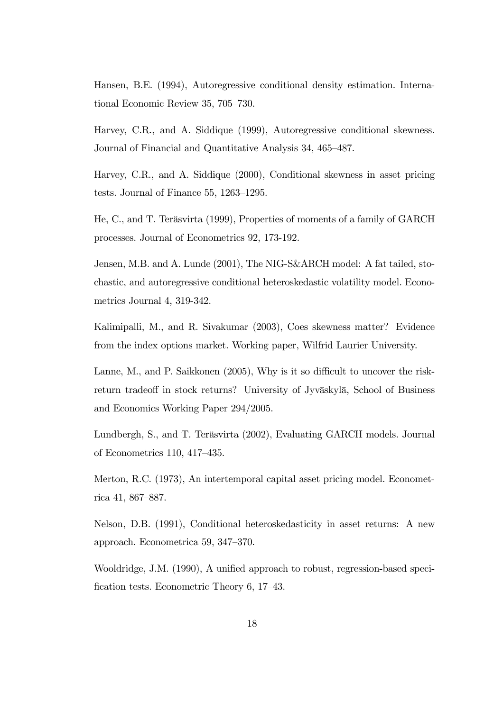Hansen, B.E. (1994), Autoregressive conditional density estimation. International Economic Review 35, 705—730.

Harvey, C.R., and A. Siddique (1999), Autoregressive conditional skewness. Journal of Financial and Quantitative Analysis 34, 465—487.

Harvey, C.R., and A. Siddique (2000), Conditional skewness in asset pricing tests. Journal of Finance 55, 1263—1295.

He, C., and T. Teräsvirta (1999), Properties of moments of a family of GARCH processes. Journal of Econometrics 92, 173-192.

Jensen, M.B. and A. Lunde (2001), The NIG-S&ARCH model: A fat tailed, stochastic, and autoregressive conditional heteroskedastic volatility model. Econometrics Journal 4, 319-342.

Kalimipalli, M., and R. Sivakumar (2003), Coes skewness matter? Evidence from the index options market. Working paper, Wilfrid Laurier University.

Lanne, M., and P. Saikkonen (2005), Why is it so difficult to uncover the riskreturn tradeoff in stock returns? University of Jyväskylä, School of Business and Economics Working Paper 294/2005.

Lundbergh, S., and T. Teräsvirta (2002), Evaluating GARCH models. Journal of Econometrics 110, 417—435.

Merton, R.C. (1973), An intertemporal capital asset pricing model. Econometrica 41, 867—887.

Nelson, D.B. (1991), Conditional heteroskedasticity in asset returns: A new approach. Econometrica 59, 347—370.

Wooldridge, J.M. (1990), A unified approach to robust, regression-based specification tests. Econometric Theory 6, 17—43.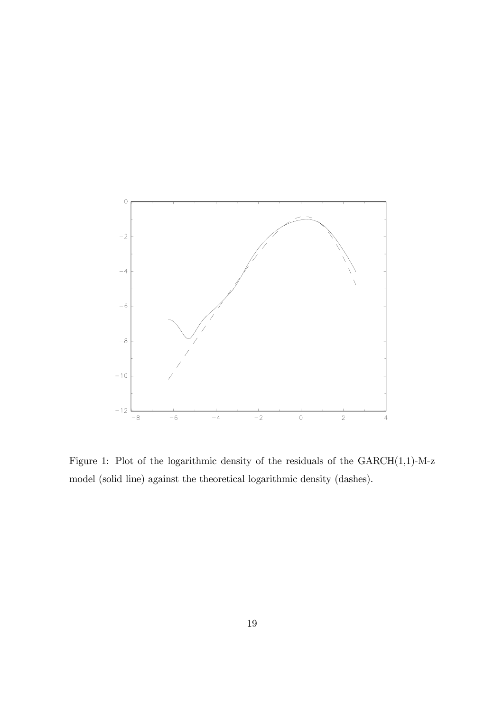

Figure 1: Plot of the logarithmic density of the residuals of the  $\text{GARCH}(1,1)\text{-}\text{M-z}$ model (solid line) against the theoretical logarithmic density (dashes).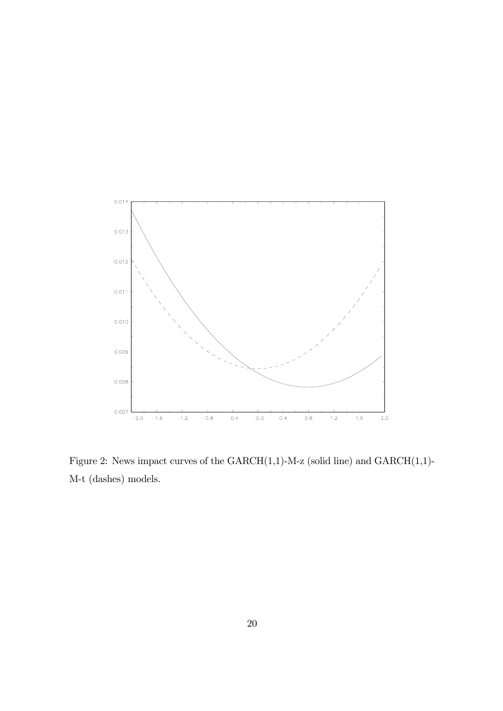

Figure 2: News impact curves of the  $GARCH(1,1)-M-z$  (solid line) and  $GARCH(1,1)-M-z$ M-t (dashes) models.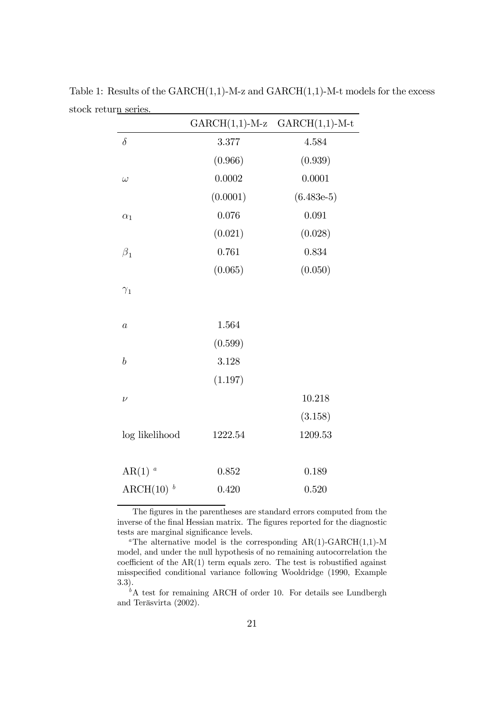| ш <u>и әсікә</u>     |                  |                  |
|----------------------|------------------|------------------|
|                      | $GARCH(1,1)-M-z$ | $GARCH(1,1)-M-t$ |
| $\delta$             | 3.377            | 4.584            |
|                      | (0.966)          | (0.939)          |
| $\omega$             | 0.0002           | 0.0001           |
|                      | (0.0001)         | $(6.483e-5)$     |
| $\alpha_1$           | 0.076            | 0.091            |
|                      | (0.021)          | (0.028)          |
| $\beta_1$            | 0.761            | 0.834            |
|                      | (0.065)          | (0.050)          |
| $\gamma_1$           |                  |                  |
| $\boldsymbol{a}$     | 1.564            |                  |
|                      | (0.599)          |                  |
| $\boldsymbol{b}$     | 3.128            |                  |
|                      | (1.197)          |                  |
| $\nu$                |                  | 10.218           |
|                      |                  | (3.158)          |
| log likelihood       | 1222.54          | 1209.53          |
| $AR(1)$ <sup>a</sup> | 0.852            | 0.189            |
| ARCH $(10)^b$        | 0.420            | 0.520            |
|                      |                  |                  |

Table 1: Results of the  $GARCH(1,1)-M-z$  and  $GARCH(1,1)-M-t$  models for the excess stock return series.  $\overline{\phantom{0}}$ 

The figures in the parentheses are standard errors computed from the inverse of the final Hessian matrix. The figures reported for the diagnostic tests are marginal significance levels.

<sup>a</sup>The alternative model is the corresponding  $AR(1)-GARCH(1,1)-M$ model, and under the null hypothesis of no remaining autocorrelation the coefficient of the AR(1) term equals zero. The test is robustified against misspecified conditional variance following Wooldridge (1990, Example 3.3).

 $b^b$ A test for remaining ARCH of order 10. For details see Lundbergh and Teräsvirta (2002).